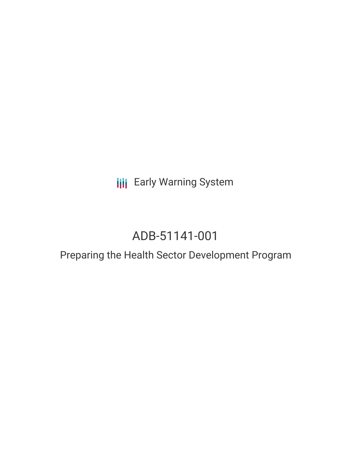**III** Early Warning System

# ADB-51141-001

## Preparing the Health Sector Development Program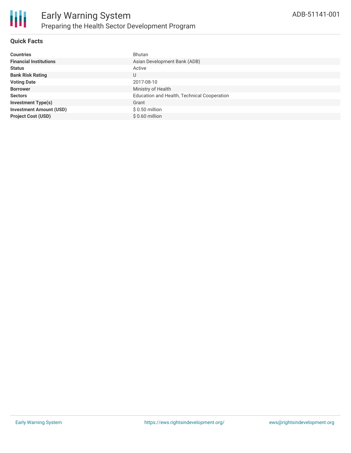

#### **Quick Facts**

| <b>Countries</b>               | Bhutan                                      |
|--------------------------------|---------------------------------------------|
| <b>Financial Institutions</b>  | Asian Development Bank (ADB)                |
| <b>Status</b>                  | Active                                      |
| <b>Bank Risk Rating</b>        | U                                           |
| <b>Voting Date</b>             | 2017-08-10                                  |
| <b>Borrower</b>                | Ministry of Health                          |
| <b>Sectors</b>                 | Education and Health, Technical Cooperation |
| <b>Investment Type(s)</b>      | Grant                                       |
| <b>Investment Amount (USD)</b> | $$0.50$ million                             |
| <b>Project Cost (USD)</b>      | $$0.60$ million                             |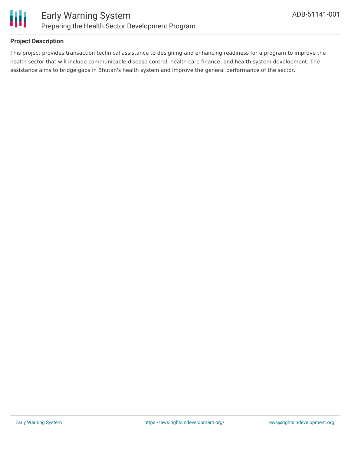

#### **Project Description**

This project provides transaction technical assistance to designing and enhancing readiness for a program to improve the health sector that will include communicable disease control, health care finance, and health system development. The assistance aims to bridge gaps in Bhutan's health system and improve the general performance of the sector.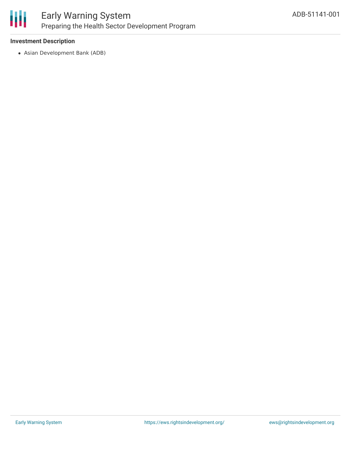

#### **Investment Description**

Asian Development Bank (ADB)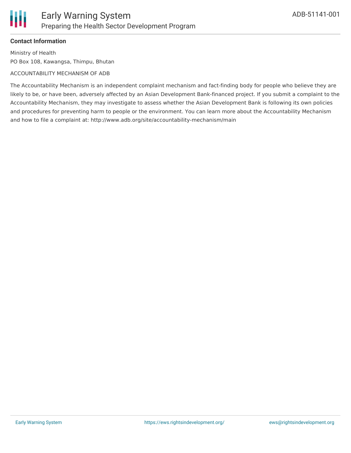

#### **Contact Information**

Ш

Ministry of Health PO Box 108, Kawangsa, Thimpu, Bhutan

#### ACCOUNTABILITY MECHANISM OF ADB

The Accountability Mechanism is an independent complaint mechanism and fact-finding body for people who believe they are likely to be, or have been, adversely affected by an Asian Development Bank-financed project. If you submit a complaint to the Accountability Mechanism, they may investigate to assess whether the Asian Development Bank is following its own policies and procedures for preventing harm to people or the environment. You can learn more about the Accountability Mechanism and how to file a complaint at: http://www.adb.org/site/accountability-mechanism/main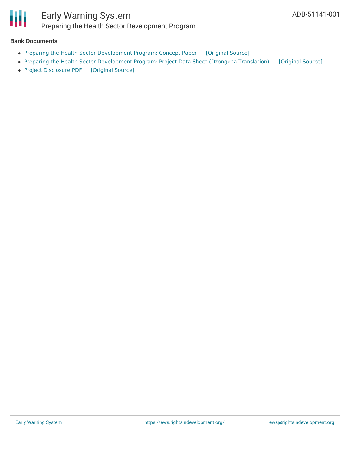

#### **Bank Documents**

- Preparing the Health Sector [Development](https://ewsdata.rightsindevelopment.org/files/documents/01/ADB-51141-001_U9JDhi6.pdf) Program: Concept Paper [\[Original](https://www.adb.org/projects/documents/bhu-51141-001-cp) Source]
- Preparing the Health Sector [Development](https://ewsdata.rightsindevelopment.org/files/documents/01/ADB-51141-001_4rXjmBo.pdf) Program: Project Data Sheet (Dzongkha Translation) [\[Original](https://www.adb.org/sites/default/files/project-documents/51141/51141-001-pds-dz.pdf) Source]
- Project [Disclosure](https://ewsdata.rightsindevelopment.org/files/documents/01/ADB-51141-001.pdf) PDF [\[Original](https://www.adb.org/printpdf/projects/51141-001/main) Source]